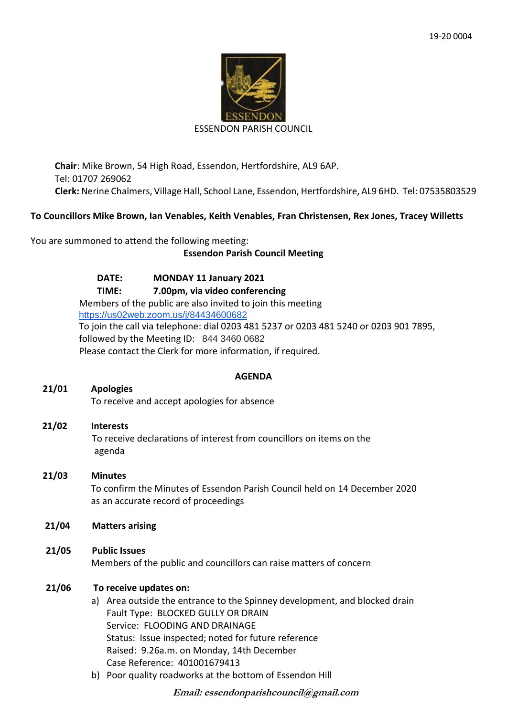

#### ESSENDON PARISH COUNCIL

**Chair**: Mike Brown, 54 High Road, Essendon, Hertfordshire, AL9 6AP. Tel: 01707 269062 **Clerk:** Nerine Chalmers, Village Hall, School Lane, Essendon, Hertfordshire, AL9 6HD. Tel: 07535803529

## **To Councillors Mike Brown, Ian Venables, Keith Venables, Fran Christensen, Rex Jones, Tracey Willetts**

You are summoned to attend the following meeting:

## **Essendon Parish Council Meeting**

**DATE: MONDAY 11 January 2021 TIME: 7.00pm, via video conferencing** Members of the public are also invited to join this meeting <https://us02web.zoom.us/j/84434600682> To join the call via telephone: dial 0203 481 5237 or 0203 481 5240 or 0203 901 7895, followed by the Meeting ID: 844 3460 0682 Please contact the Clerk for more information, if required.

## **AGENDA**

## **21/01 Apologies**

To receive and accept apologies for absence

# **21/02 Interests** To receive declarations of interest from councillors on items on the agenda

# **21/03 Minutes**

 To confirm the Minutes of Essendon Parish Council held on 14 December 2020 as an accurate record of proceedings

## **21/04 Matters arising**

**21/05 Public Issues** Members of the public and councillors can raise matters of concern

## **21/06 To receive updates on:**

- a) Area outside the entrance to the Spinney development, and blocked drain Fault Type: BLOCKED GULLY OR DRAIN Service: FLOODING AND DRAINAGE Status: Issue inspected; noted for future reference Raised: 9.26a.m. on Monday, 14th December Case Reference: 401001679413
- b) Poor quality roadworks at the bottom of Essendon Hill

**Email: essendonparishcouncil@gmail.com**